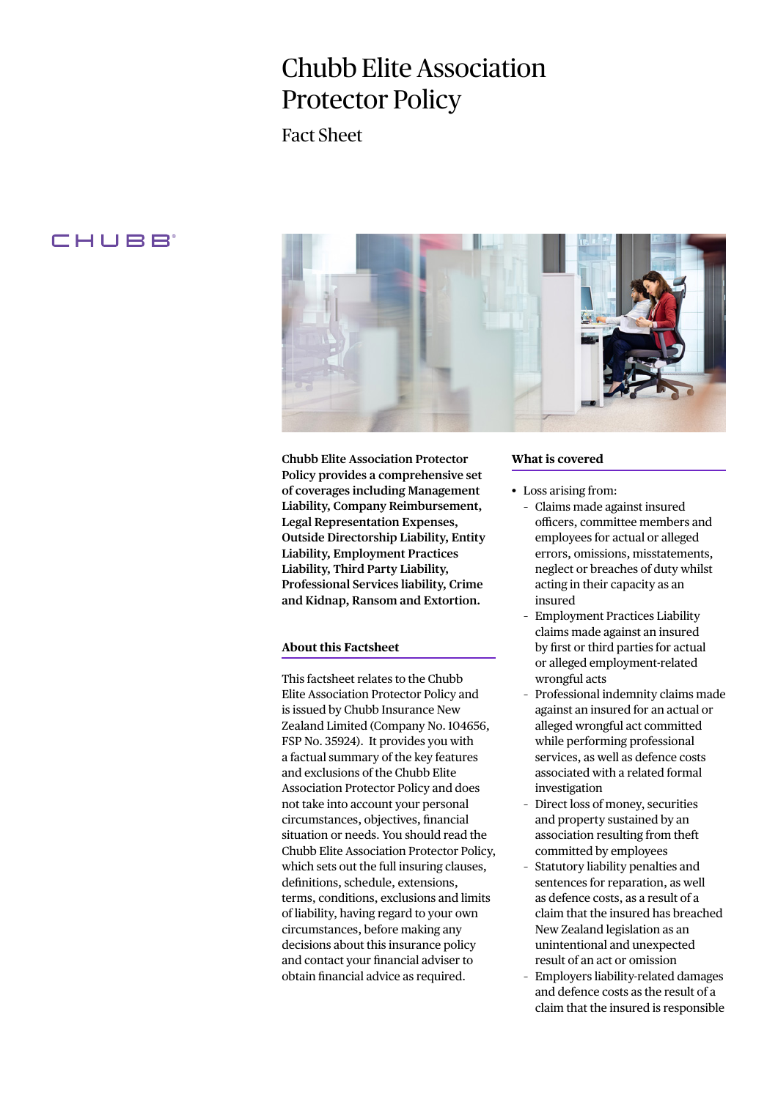# Chubb Elite Association Protector Policy

Fact Sheet

# CHUBB<sup>®</sup>



**Chubb Elite Association Protector Policy provides a comprehensive set of coverages including Management Liability, Company Reimbursement, Legal Representation Expenses, Outside Directorship Liability, Entity Liability, Employment Practices Liability, Third Party Liability, Professional Services liability, Crime and Kidnap, Ransom and Extortion.**

# **About this Factsheet**

This factsheet relates to the Chubb Elite Association Protector Policy and is issued by Chubb Insurance New Zealand Limited (Company No. 104656, FSP No. 35924). It provides you with a factual summary of the key features and exclusions of the Chubb Elite Association Protector Policy and does not take into account your personal circumstances, objectives, financial situation or needs. You should read the Chubb Elite Association Protector Policy, which sets out the full insuring clauses, definitions, schedule, extensions, terms, conditions, exclusions and limits of liability, having regard to your own circumstances, before making any decisions about this insurance policy and contact your financial adviser to obtain financial advice as required.

# **What is covered**

- Loss arising from:
	- Claims made against insured officers, committee members and employees for actual or alleged errors, omissions, misstatements, neglect or breaches of duty whilst acting in their capacity as an insured
	- Employment Practices Liability claims made against an insured by first or third parties for actual or alleged employment-related wrongful acts
	- Professional indemnity claims made against an insured for an actual or alleged wrongful act committed while performing professional services, as well as defence costs associated with a related formal investigation
	- Direct loss of money, securities and property sustained by an association resulting from theft committed by employees
	- Statutory liability penalties and sentences for reparation, as well as defence costs, as a result of a claim that the insured has breached New Zealand legislation as an unintentional and unexpected result of an act or omission
	- Employers liability-related damages and defence costs as the result of a claim that the insured is responsible